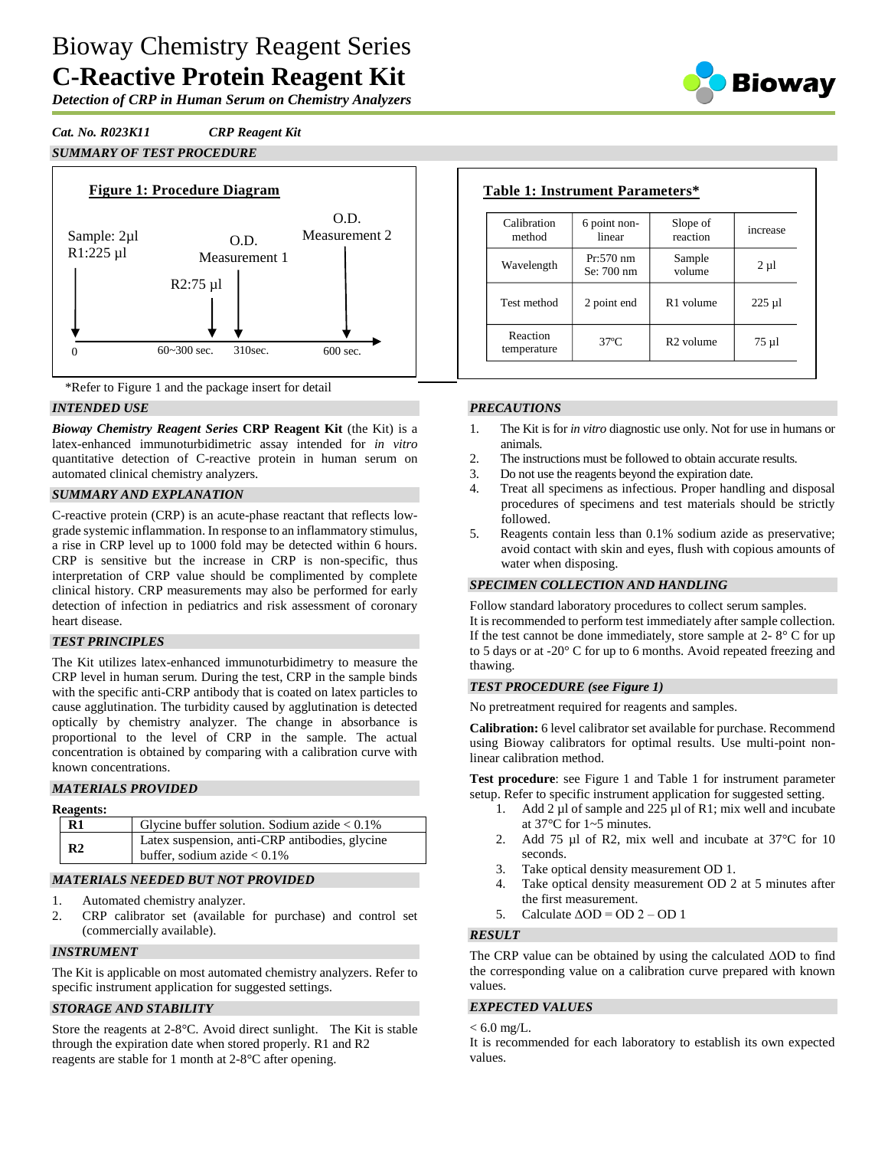# Bioway Chemistry Reagent Series **C-Reactive Protein Reagent Kit**

*Detection of CRP in Human Serum on Chemistry Analyzers*

*Cat. No. R023K11 CRP Reagent Kit*

# *SUMMARY OF TEST PROCEDURE*



\*Refer to Figure 1 and the package insert for detail

#### *INTENDED USE*

*Bioway Chemistry Reagent Series* **CRP Reagent Kit** (the Kit) is a latex-enhanced immunoturbidimetric assay intended for *in vitro* quantitative detection of C-reactive protein in human serum on automated clinical chemistry analyzers.

#### *SUMMARY AND EXPLANATION*

C-reactive protein (CRP) is an acute-phase reactant that reflects lowgrade systemic inflammation. In response to an inflammatory stimulus, a rise in CRP level up to 1000 fold may be detected within 6 hours. CRP is sensitive but the increase in CRP is non-specific, thus interpretation of CRP value should be complimented by complete clinical history. CRP measurements may also be performed for early detection of infection in pediatrics and risk assessment of coronary heart disease.

#### *TEST PRINCIPLES*

The Kit utilizes latex-enhanced immunoturbidimetry to measure the CRP level in human serum. During the test, CRP in the sample binds with the specific anti-CRP antibody that is coated on latex particles to cause agglutination. The turbidity caused by agglutination is detected optically by chemistry analyzer. The change in absorbance is proportional to the level of CRP in the sample. The actual concentration is obtained by comparing with a calibration curve with known concentrations.

#### *MATERIALS PROVIDED*

#### **Reagents:**

|  | $\mathbf{R}1$  | Glycine buffer solution. Sodium azide $< 0.1\%$                                  |  |  |  |
|--|----------------|----------------------------------------------------------------------------------|--|--|--|
|  | R <sub>2</sub> | Latex suspension, anti-CRP antibodies, glycine<br>buffer, sodium azide $< 0.1\%$ |  |  |  |
|  |                |                                                                                  |  |  |  |

# *MATERIALS NEEDED BUT NOT PROVIDED*

- 1. Automated chemistry analyzer.
- 2. CRP calibrator set (available for purchase) and control set (commercially available).

# *INSTRUMENT*

The Kit is applicable on most automated chemistry analyzers. Refer to specific instrument application for suggested settings.

# *STORAGE AND STABILITY*

Store the reagents at 2-8°C. Avoid direct sunlight. The Kit is stable through the expiration date when stored properly. R1 and R2 reagents are stable for 1 month at 2-8°C after opening.

| <b>Table 1: Instrument Parameters*</b> |                           |                      |           |
|----------------------------------------|---------------------------|----------------------|-----------|
| Calibration<br>method                  | 6 point non-<br>linear    | Slope of<br>reaction | increase  |
| Wavelength                             | $Pr:570$ nm<br>Se: 700 nm | Sample<br>volume     | $2 \mu l$ |
|                                        |                           |                      |           |

Test method  $\begin{vmatrix} 2 \text{ point end} \\ 2 \text{ point end} \end{vmatrix}$  R1 volume  $\begin{vmatrix} 225 \text{ }\mu\text{R} \\ 225 \text{ point eq} \end{vmatrix}$ 

 $37^{\circ}C$  R2 volume 75 µl

## *PRECAUTIONS*

Reaction temperature

- 1. The Kit is for *in vitro* diagnostic use only. Not for use in humans or animals.
- 2. The instructions must be followed to obtain accurate results.
- 3. Do not use the reagents beyond the expiration date.
- 4. Treat all specimens as infectious. Proper handling and disposal procedures of specimens and test materials should be strictly followed.
- 5. Reagents contain less than 0.1% sodium azide as preservative; avoid contact with skin and eyes, flush with copious amounts of water when disposing.

#### *SPECIMEN COLLECTION AND HANDLING*

Follow standard laboratory procedures to collect serum samples. It is recommended to perform test immediately after sample collection. If the test cannot be done immediately, store sample at  $2 - 8^\circ$  C for up to 5 days or at -20° C for up to 6 months. Avoid repeated freezing and thawing.

# *TEST PROCEDURE (see Figure 1)*

No pretreatment required for reagents and samples.

**Calibration:** 6 level calibrator set available for purchase. Recommend using Bioway calibrators for optimal results. Use multi-point nonlinear calibration method.

**Test procedure**: see Figure 1 and Table 1 for instrument parameter setup. Refer to specific instrument application for suggested setting.

- 1. Add 2 µl of sample and 225 µl of R1; mix well and incubate at 37°C for 1~5 minutes.
- 2. Add 75 µl of R2, mix well and incubate at 37°C for 10 seconds.
- 3. Take optical density measurement OD 1.
- 4. Take optical density measurement OD 2 at 5 minutes after the first measurement.
- 5. Calculate  $\triangle$ OD = OD 2 OD 1

# *RESULT*

The CRP value can be obtained by using the calculated ΔOD to find the corresponding value on a calibration curve prepared with known values.

## *EXPECTED VALUES*

 $< 6.0$  mg/L.

It is recommended for each laboratory to establish its own expected values.